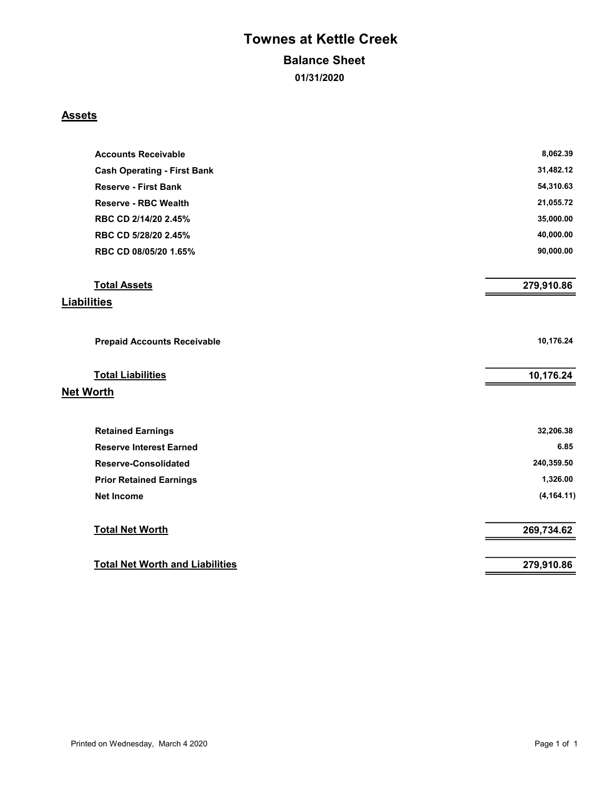# Townes at Kettle Creek

### Balance Sheet

01/31/2020

#### **Assets**

| <b>Accounts Receivable</b>             | 8,062.39    |
|----------------------------------------|-------------|
| <b>Cash Operating - First Bank</b>     | 31,482.12   |
| <b>Reserve - First Bank</b>            | 54,310.63   |
| <b>Reserve - RBC Wealth</b>            | 21,055.72   |
| RBC CD 2/14/20 2.45%                   | 35,000.00   |
| RBC CD 5/28/20 2.45%                   | 40,000.00   |
| RBC CD 08/05/20 1.65%                  | 90,000.00   |
| <b>Total Assets</b>                    | 279,910.86  |
| <b>Liabilities</b>                     |             |
| <b>Prepaid Accounts Receivable</b>     | 10,176.24   |
| <b>Total Liabilities</b>               | 10,176.24   |
| <b>Net Worth</b>                       |             |
| <b>Retained Earnings</b>               | 32,206.38   |
| <b>Reserve Interest Earned</b>         | 6.85        |
| <b>Reserve-Consolidated</b>            | 240,359.50  |
| <b>Prior Retained Earnings</b>         | 1,326.00    |
| <b>Net Income</b>                      | (4, 164.11) |
| <b>Total Net Worth</b>                 | 269,734.62  |
| <b>Total Net Worth and Liabilities</b> | 279,910.86  |